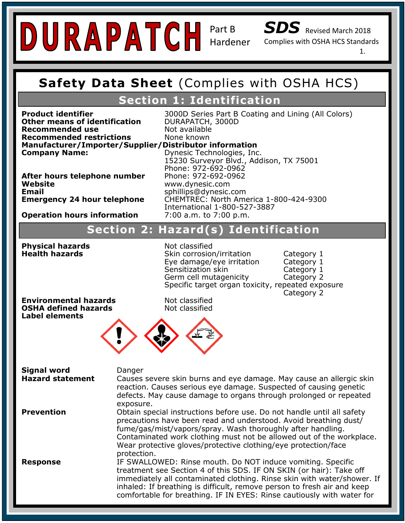SDS Revised March 2018

Complies with OSHA HCS Standards

1.

### **Safety Data Sheet (Complies with OSHA Safety Data Sheet** (Complies with OSHA HCS)

# **Section 1: Identification**

**Recommended restrictions**<br>Manufacturer/Importer/Supplier/Distributor information **Other means of identification Recommended use** Not available<br> **Recommended restrictions** None known **Recommended restrictions** 

**DURAPATCH, 3000D Product identifier** 3000D Series Part B Coating and Lining (All Colors)

**Emergency Contact:** Same as Above Website<br>Email **Emergency 24 hour telephone** 

**Company Name: Company Name:** 15230 Supplier, *Biblingalon, Inc.* 15230 Dynesic Technologies, Inc. **After hours telephone number** Phone: 972-692-0962<br>Website **Operation hours information 2:00 a.m. to 7:00 p.m.** 15230 Surveyor Blvd., Addison, TX 75001 Phone: 972-692-0962 **Website** www.dynesic.com **Email** sphillips@dynesic.com **Emergency 24 hour telephone** CHEMTREC: North America 1-800-424-9300 International 1-800-527-3887<br>7:00 a.m. to 7:00 p.m.

### **Signal Word: Warning Section 2: Hazard(s) Identification Section 2: Hazard(s) IdentificationHazard Statement(s): H317 Prolonged exposure may cause an allergic skin reaction.**

**Health hazards Physical hazards** Not classified

Phone: 972-692-0962

**Skin corrosion/irritation Category 1** Eye damage/eye irritation Category 1 Sensitization skin Category 1 Germ cell mutagenicity Category 2 Specific target organ toxicity, repeated exposure Category 2

**Product a P101: If medical advice is needed, has product container at hand.** The product container of the product container or label at hand. The product container or label at hand. The product container of the product co **OSHA defined hazards Label elements**

Not classified<br>Not classified



| <b>Signal word</b>      | Danger                                                                                                                                                                                                                                                                                                                                                             |
|-------------------------|--------------------------------------------------------------------------------------------------------------------------------------------------------------------------------------------------------------------------------------------------------------------------------------------------------------------------------------------------------------------|
| <b>Hazard statement</b> | Causes severe skin burns and eye damage. May cause an allergic skin<br>reaction. Causes serious eye damage. Suspected of causing genetic<br>defects. May cause damage to organs through prolonged or repeated<br>exposure.                                                                                                                                         |
| <b>Prevention</b>       | Obtain special instructions before use. Do not handle until all safety<br>precautions have been read and understood. Avoid breathing dust/<br>fume/gas/mist/vapors/spray. Wash thoroughly after handling.<br>Contaminated work clothing must not be allowed out of the workplace.<br>Wear protective gloves/protective clothing/eye protection/face<br>protection. |
| <b>Response</b>         | IF SWALLOWED: Rinse mouth. Do NOT induce vomiting. Specific<br>treatment see Section 4 of this SDS. IF ON SKIN (or hair): Take off<br>immediately all contaminated clothing. Rinse skin with water/shower. If<br>inhaled: If breathing is difficult, remove person to fresh air and keep<br>comfortable for breathing. IF IN EYES: Rinse cautiously with water for |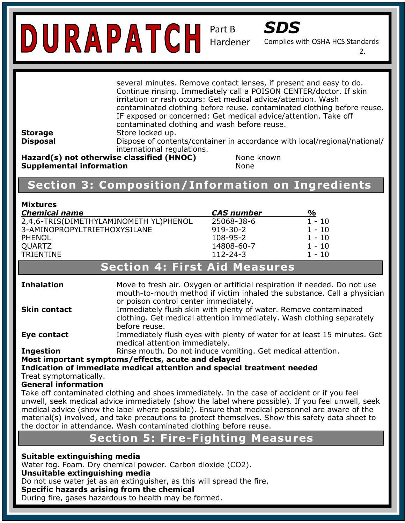

Complies with OSHA HCS Standards

2.

|                | several minutes. Remove contact lenses, if present and easy to do.<br>Continue rinsing. Immediately call a POISON CENTER/doctor. If skin |
|----------------|------------------------------------------------------------------------------------------------------------------------------------------|
|                | irritation or rash occurs: Get medical advice/attention. Wash                                                                            |
|                | contaminated clothing before reuse. contaminated clothing before reuse.                                                                  |
|                | IF exposed or concerned: Get medical advice/attention. Take off                                                                          |
|                | contaminated clothing and wash before reuse.                                                                                             |
| <b>Storage</b> | Store locked up.                                                                                                                         |
| Disposal       | Dispose of contents/container in accordance with local/regional/national/<br>international regulations.                                  |
|                | $\textsf{H}$ azard $(\epsilon)$ not otherwise classified (HNOC)<br>Nono known                                                            |

Hazarα(s) noτ **Supplemental information None Otherwise classified (HNOC)** None known

**Chemical Family:** Novolac Epoxies

#### **Recommended Use:** Chemical and temperature resistant, UV stabilized, ultra clear coating for indoor and **Section 3: Composition/Information on Ingredients**

| <b>Mixtures</b>                        |                   |          |
|----------------------------------------|-------------------|----------|
| <b>Chemical name</b>                   | <b>CAS</b> number | %        |
| 2,4,6-TRIS(DIMETHYLAMINOMETH YL)PHENOL | 25068-38-6        | $1 - 10$ |
| 3-AMINOPROPYLTRIETHOXYSILANE           | $919 - 30 - 2$    | $1 - 10$ |
| PHENOL                                 | 108-95-2          | $1 - 10$ |
| <b>QUARTZ</b>                          | 14808-60-7        | $1 - 10$ |
| <b>TRIENTINE</b>                       | $112 - 24 - 3$    | $1 - 10$ |

## **Section 4: First Aid Measures**

| <b>Inhalation</b>                                     | Move to fresh air. Oxygen or artificial respiration if needed. Do not use                                                                                                                                                                                                                                                                                                                                                                                                     |  |  |
|-------------------------------------------------------|-------------------------------------------------------------------------------------------------------------------------------------------------------------------------------------------------------------------------------------------------------------------------------------------------------------------------------------------------------------------------------------------------------------------------------------------------------------------------------|--|--|
|                                                       | mouth-to-mouth method if victim inhaled the substance. Call a physician<br>or poison control center immediately.                                                                                                                                                                                                                                                                                                                                                              |  |  |
| <b>Skin contact</b>                                   | Immediately flush skin with plenty of water. Remove contaminated                                                                                                                                                                                                                                                                                                                                                                                                              |  |  |
|                                                       | clothing. Get medical attention immediately. Wash clothing separately                                                                                                                                                                                                                                                                                                                                                                                                         |  |  |
|                                                       | before reuse.                                                                                                                                                                                                                                                                                                                                                                                                                                                                 |  |  |
| Eye contact                                           | Immediately flush eyes with plenty of water for at least 15 minutes. Get                                                                                                                                                                                                                                                                                                                                                                                                      |  |  |
|                                                       | medical attention immediately.                                                                                                                                                                                                                                                                                                                                                                                                                                                |  |  |
| <b>Ingestion</b>                                      | Rinse mouth. Do not induce vomiting. Get medical attention.                                                                                                                                                                                                                                                                                                                                                                                                                   |  |  |
|                                                       | Most important symptoms/effects, acute and delayed                                                                                                                                                                                                                                                                                                                                                                                                                            |  |  |
|                                                       | Indication of immediate medical attention and special treatment needed                                                                                                                                                                                                                                                                                                                                                                                                        |  |  |
| Treat symptomatically.<br><b>General information</b>  |                                                                                                                                                                                                                                                                                                                                                                                                                                                                               |  |  |
|                                                       | Take off contaminated clothing and shoes immediately. In the case of accident or if you feel<br>unwell, seek medical advice immediately (show the label where possible). If you feel unwell, seek<br>medical advice (show the label where possible). Ensure that medical personnel are aware of the<br>material(s) involved, and take precautions to protect themselves. Show this safety data sheet to<br>the doctor in attendance. Wash contaminated clothing before reuse. |  |  |
|                                                       | <b>Section 5: Fire-Fighting Measures</b>                                                                                                                                                                                                                                                                                                                                                                                                                                      |  |  |
| Suitable extinguishing media                          | Water fog. Foam. Dry chemical powder. Carbon dioxide (CO2).                                                                                                                                                                                                                                                                                                                                                                                                                   |  |  |
| Unsuitable extinguishing media                        |                                                                                                                                                                                                                                                                                                                                                                                                                                                                               |  |  |
|                                                       | Do not use water jet as an extinguisher, as this will spread the fire.                                                                                                                                                                                                                                                                                                                                                                                                        |  |  |
| Specific hazards arising from the chemical            |                                                                                                                                                                                                                                                                                                                                                                                                                                                                               |  |  |
| During fire, gases hazardous to health may be formed. |                                                                                                                                                                                                                                                                                                                                                                                                                                                                               |  |  |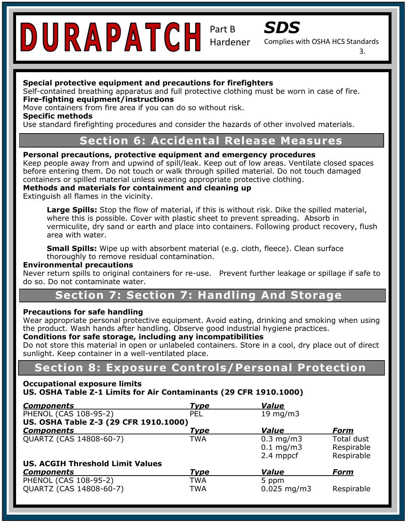

Complies with OSHA HCS Standards

3.

### **Special protective equipment and precautions for firefighters**

Self-contained breathing apparatus and full protective clothing must be worn in case of fire.<br>-**Fire-fighting equipment/instructions** 

Move containers from fire area if you can do so without risk.

**Specific methods** 

**Specific methods**<br>Use standard firefighting procedures and consider the hazards of other involved materials.

# **Trade Section 6: Accidental Release Measures**

# **Thack Informations, inclust** Equipment and emergency procedures **Protes**

r erborm: preductions, protective equipment and emergency procedures<br>Keep people away from and upwind of spill/leak. Keep out of low areas. Ventilate closed spaces before entering them. Do not touch or walk through spilled material. Do not touch damaged containers or spilled material unless wearing appropriate protective clothing.

**Methods and materials for containment and cleaning up** 

Extinguish all flames in the vicinity.

where this is possible. Cover with plastic sheet to prevent spreading. Absorb in where the *ispection* cover that places once to proven opreasing. Those is interesting vermiculite, dry sand or earth and place into containers. Following product recovery, flush **Hazard Statement (s): H317 Propose** and allegiate and allegiate skin reaction. The second control of the second skin reaction of the second second second second second second second second second second second second seco Large Spills: Stop the flow of material, if this is without risk. Dike the spilled material, area with water.

**Pictogram:** thoroughly to remove residual contamination. **Small Spills:** Wipe up with absorbent material (e.g. cloth, fleece). Clean surface

### **Environmental precautions**

Never return spills to original containers for re-use. Prevent further leakage or spillage if safe to do so. Do not contaminate water.

### **Precaution 7: Section 7: Handling And Storage is needed, hand.** P102: Keep out of reach of children .

### **Precautions for safe handling**

Precautions for sare nandling<br>Wear appropriate personal protective equipment. Avoid eating, drinking and smoking when using wear appropriate personal protective equipment. Avoid eating, drinking and smoking<br>the product. Wash hands after handling. Observe good industrial hygiene practices.

### and product. Wear named area nanalligit observe good madellian hygicine produced.<br>Conditions for safe storage, including any incompatibilities

Do not store this material in open or unlabeled containers. Store in a cool, dry place out of direct sunlight. Keep container in a well-ventilated place.

# **Section 8: Exposure Controls/Personal Protection**

#### **Occupational exposure limits** US. OSHA Table Z-1 Limits for Air Contaminants (29 CFR 1910.1000)

| <b>Components</b>                                | <b>Type</b> | <b>Value</b>                               |                                               |
|--------------------------------------------------|-------------|--------------------------------------------|-----------------------------------------------|
| PHENOL (CAS 108-95-2)                            | PEL         | 19 mg/m $3$                                |                                               |
| US. OSHA Table Z-3 (29 CFR 1910.1000)            |             |                                            |                                               |
| <b>Components</b>                                | Type        | Value                                      | <b>Form</b>                                   |
| QUARTZ (CAS 14808-60-7)                          | TWA         | $0.3$ mg/m $3$<br>$0.1$ mg/m3<br>2.4 mppcf | <b>Total dust</b><br>Respirable<br>Respirable |
| <b>US. ACGIH Threshold Limit Values</b>          |             |                                            |                                               |
| <b>Components</b>                                | <b>Type</b> | <b>Value</b>                               | <b>Form</b>                                   |
| PHENOL (CAS 108-95-2)<br>QUARTZ (CAS 14808-60-7) | TWA<br>TWA  | 5 ppm<br>$0.025$ mg/m3                     | Respirable                                    |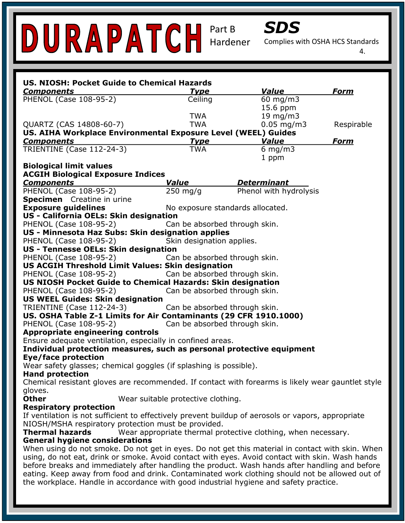

Complies with OSHA HCS Standards

4.

| US. NIOSH: Pocket Guide to Chemical Hazards                                                                                                                                                      |                                    |                                                               |             |
|--------------------------------------------------------------------------------------------------------------------------------------------------------------------------------------------------|------------------------------------|---------------------------------------------------------------|-------------|
| <b>Components</b>                                                                                                                                                                                | <u>Type</u>                        | Value                                                         | Form        |
| PHENOL (Case 108-95-2)                                                                                                                                                                           | Ceiling                            | 60 mg/m3                                                      |             |
|                                                                                                                                                                                                  |                                    | 15.6 ppm                                                      |             |
|                                                                                                                                                                                                  | <b>TWA</b>                         | 19 mg/m3                                                      |             |
| QUARTZ (CAS 14808-60-7)                                                                                                                                                                          | <b>TWA</b>                         | $0.05 \,\mathrm{mg/m}$                                        | Respirable  |
| US. AIHA Workplace Environmental Exposure Level (WEEL) Guides                                                                                                                                    |                                    |                                                               |             |
| <b>Components</b>                                                                                                                                                                                | <u>Type</u>                        | <b>Value</b>                                                  | <u>Form</u> |
| TRIENTINE (Case 112-24-3)                                                                                                                                                                        | <b>TWA</b>                         | 6 mg/m $3$                                                    |             |
|                                                                                                                                                                                                  |                                    | 1 ppm                                                         |             |
| <b>Biological limit values</b>                                                                                                                                                                   |                                    |                                                               |             |
| <b>ACGIH Biological Exposure Indices</b>                                                                                                                                                         |                                    |                                                               |             |
| <b>Components</b>                                                                                                                                                                                | Value                              | <b>Determinant</b>                                            |             |
| PHENOL (Case 108-95-2)                                                                                                                                                                           | $250 \text{ mg/g}$                 | Phenol with hydrolysis                                        |             |
| <b>Specimen</b> Creatine in urine                                                                                                                                                                |                                    |                                                               |             |
| <b>Exposure guidelines</b>                                                                                                                                                                       | No exposure standards allocated.   |                                                               |             |
| US - California OELs: Skin designation                                                                                                                                                           |                                    |                                                               |             |
| PHENOL (Case 108-95-2)                                                                                                                                                                           | Can be absorbed through skin.      |                                                               |             |
| US - Minnesota Haz Subs: Skin designation applies                                                                                                                                                |                                    |                                                               |             |
| PHENOL (Case 108-95-2)                                                                                                                                                                           | Skin designation applies.          |                                                               |             |
| US - Tennesse OELs: Skin designation                                                                                                                                                             |                                    |                                                               |             |
| PHENOL (Case 108-95-2)                                                                                                                                                                           | Can be absorbed through skin.      |                                                               |             |
| <b>US ACGIH Threshold Limit Values: Skin designation</b>                                                                                                                                         |                                    |                                                               |             |
| PHENOL (Case 108-95-2)                                                                                                                                                                           | Can be absorbed through skin.      |                                                               |             |
| <b>US NIOSH Pocket Guide to Chemical Hazards: Skin designation</b>                                                                                                                               |                                    |                                                               |             |
| PHENOL (Case 108-95-2)                                                                                                                                                                           | Can be absorbed through skin.      |                                                               |             |
| <b>US WEEL Guides: Skin designation</b>                                                                                                                                                          |                                    |                                                               |             |
| TRIENTINE (Case 112-24-3)                                                                                                                                                                        | Can be absorbed through skin.      |                                                               |             |
| US. OSHA Table Z-1 Limits for Air Contaminants (29 CFR 1910.1000)                                                                                                                                |                                    |                                                               |             |
| PHENOL (Case 108-95-2)                                                                                                                                                                           | Can be absorbed through skin.      |                                                               |             |
| <b>Appropriate engineering controls</b>                                                                                                                                                          |                                    |                                                               |             |
| Ensure adequate ventilation, especially in confined areas.                                                                                                                                       |                                    |                                                               |             |
| Individual protection measures, such as personal protective equipment                                                                                                                            |                                    |                                                               |             |
| <b>Eye/face protection</b>                                                                                                                                                                       |                                    |                                                               |             |
| Wear safety glasses; chemical goggles (if splashing is possible).                                                                                                                                |                                    |                                                               |             |
| <b>Hand protection</b>                                                                                                                                                                           |                                    |                                                               |             |
| Chemical resistant gloves are recommended. If contact with forearms is likely wear gauntlet style                                                                                                |                                    |                                                               |             |
| gloves.                                                                                                                                                                                          |                                    |                                                               |             |
| <b>Other</b>                                                                                                                                                                                     | Wear suitable protective clothing. |                                                               |             |
| <b>Respiratory protection</b>                                                                                                                                                                    |                                    |                                                               |             |
| If ventilation is not sufficient to effectively prevent buildup of aerosols or vapors, appropriate                                                                                               |                                    |                                                               |             |
| NIOSH/MSHA respiratory protection must be provided.                                                                                                                                              |                                    |                                                               |             |
| <b>Thermal hazards</b>                                                                                                                                                                           |                                    | Wear appropriate thermal protective clothing, when necessary. |             |
| <b>General hygiene considerations</b>                                                                                                                                                            |                                    |                                                               |             |
| When using do not smoke. Do not get in eyes. Do not get this material in contact with skin. When                                                                                                 |                                    |                                                               |             |
| using, do not eat, drink or smoke. Avoid contact with eyes. Avoid contact with skin. Wash hands                                                                                                  |                                    |                                                               |             |
|                                                                                                                                                                                                  |                                    |                                                               |             |
| before breaks and immediately after handling the product. Wash hands after handling and before<br>eating. Keep away from food and drink. Contaminated work clothing should not be allowed out of |                                    |                                                               |             |
| the workplace. Handle in accordance with good industrial hygiene and safety practice.                                                                                                            |                                    |                                                               |             |
|                                                                                                                                                                                                  |                                    |                                                               |             |
|                                                                                                                                                                                                  |                                    |                                                               |             |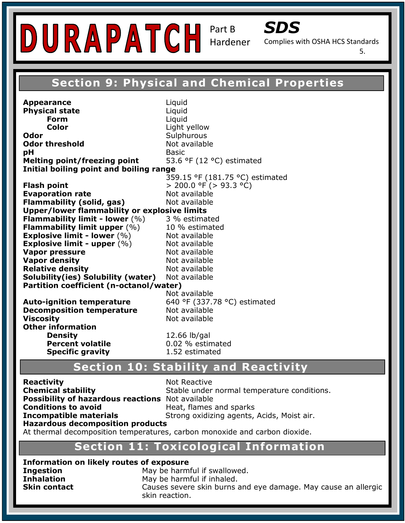

Complies with OSHA HCS Standards

5.

# **Section 9: Physical and Chemical Properties**

**Trade Care is the Suprame: Odor threshold Not available Contact Information:** *Contact Information: Basic* **Technology Surveyor Blasic** Surveyor Blasic Surveyor Blasic Technology Surveyor Blasic Surveyor Blasic Surveyor Blasic Surveyor Blasic Surveyor Blasic Surveyor Blasic Surv **Melting point/freezing point** 53.6 °F (12 °C) estimated **Initial boiling point and boiling range Recommended** USE: **Chemical and temperature resistant**, USE: **259.15** °F (181.75 °C) estimated outdoor surfaces. **Evaporation rate** Not available **Comporation rate and the Chemical Flammability (solid, gas)** Not available **Flammability limit - lower** (%) 3 % estimated **Flammability limit upper** (%) 10 % estimated **Explosive limit - lower**  $(\%)$  Not available **Pictogram: Vapor density** Not available **Precaution Statements:** *P*<br>P101: If the product container or label and the product container or label at hand. **Auto-ignition temperature** 640 °F (337.78 °C) estimated **Proporature Pecomposition temperature Not available**<br>**Viscosity Not** available P261: Avoid breathing dust/fume/gas/mist/vapors/spray. **Density 12.66 lb/gal Percent volatile D.02 % estimated** at the medical attention. **Percent volatile at the media attention**. 1.52 estimated **Appearance** Liquid **Physical state Liquid Form** Liquid **Color** Light yellow **Odor** Sulphurous **pH** Basic Basic Basic Basic Basic Basic Basic Basic Basic Basic Basic Basic Basic Basic Basic Basic Basic Basic Basic Basic Basic Basic Basic Basic Basic Basic Basic Basic Basic Basic Basic Basic Basic Basic Basic Basic B **Flash point** > 200.0 °F (> 93.3 °C) **Upper/lower flammability or explosive limits Explosive limit - upper**  $(\%)$  Not available **Vapor pressure Not available Relative density Not available Solubility(ies) Solubility (water)** Not available **Partition coefficient (n-octanol/water)**  Not available **Decomposition temperature** Not available **Other information Specific gravity** 

# **Section 10: Stability and Reactivity**

**Reactivity<br>Chemical stability Possibility of hazardous reactions** Not available **Conditions to avoid**<br>**Incompatible materials Strong oxidizing agents, Acids, Moist air. Conditions to avoid Heat, flames and sparks** 

**Chemical stability 19.1 Stable under normal temperature conditions. Not Reactive** 

**Hazardous decomposition products** 

At thermal decomposition temperatures, carbon monoxide and carbon dioxide.

#### Flammability: 1 **Section 11: Toxicological Information**

**Information on likely routes of exposure Ingestion May be harmful if swallowed. Inhalation May be harmful if inhaled. Skin contact** Causes severe skin burns and eye damage. May cause an allergic skin reaction.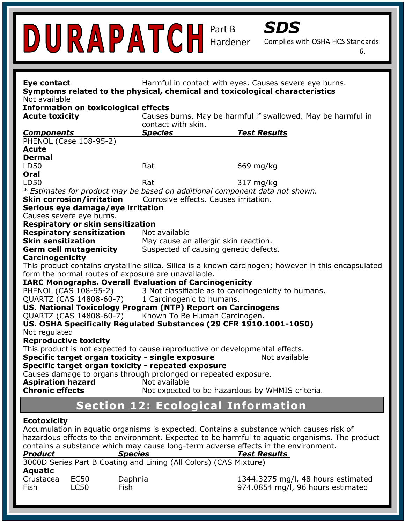

Complies with OSHA HCS Standards

6.

| Eye contact<br>Symptoms related to the physical, chemical and toxicological characteristics                                                                                                                       |                                                 | Harmful in contact with eyes. Causes severe eye burns.                                                                                                                                                            |
|-------------------------------------------------------------------------------------------------------------------------------------------------------------------------------------------------------------------|-------------------------------------------------|-------------------------------------------------------------------------------------------------------------------------------------------------------------------------------------------------------------------|
| Not available<br><b>Information on toxicological effects</b>                                                                                                                                                      |                                                 |                                                                                                                                                                                                                   |
| <b>Acute toxicity</b>                                                                                                                                                                                             |                                                 | Causes burns. May be harmful if swallowed. May be harmful in                                                                                                                                                      |
|                                                                                                                                                                                                                   | contact with skin.                              |                                                                                                                                                                                                                   |
| <b>Components</b>                                                                                                                                                                                                 | <b>Species</b>                                  | <b>Test Results</b>                                                                                                                                                                                               |
| PHENOL (Case 108-95-2)                                                                                                                                                                                            |                                                 |                                                                                                                                                                                                                   |
| <b>Acute</b>                                                                                                                                                                                                      |                                                 |                                                                                                                                                                                                                   |
| <b>Dermal</b>                                                                                                                                                                                                     |                                                 |                                                                                                                                                                                                                   |
| LD50                                                                                                                                                                                                              | Rat                                             | 669 mg/kg                                                                                                                                                                                                         |
| Oral                                                                                                                                                                                                              |                                                 |                                                                                                                                                                                                                   |
| LD50                                                                                                                                                                                                              | Rat                                             | 317 mg/kg                                                                                                                                                                                                         |
| * Estimates for product may be based on additional component data not shown.                                                                                                                                      |                                                 |                                                                                                                                                                                                                   |
| <b>Skin corrosion/irritation</b>                                                                                                                                                                                  | Corrosive effects. Causes irritation.           |                                                                                                                                                                                                                   |
| Serious eye damage/eye irritation<br>Causes severe eye burns.                                                                                                                                                     |                                                 |                                                                                                                                                                                                                   |
| Respiratory or skin sensitization                                                                                                                                                                                 |                                                 |                                                                                                                                                                                                                   |
| <b>Respiratory sensitization</b>                                                                                                                                                                                  | Not available                                   |                                                                                                                                                                                                                   |
| <b>Skin sensitization</b>                                                                                                                                                                                         | May cause an allergic skin reaction.            |                                                                                                                                                                                                                   |
| <b>Germ cell mutagenicity</b>                                                                                                                                                                                     | Suspected of causing genetic defects.           |                                                                                                                                                                                                                   |
| <b>Carcinogenicity</b>                                                                                                                                                                                            |                                                 |                                                                                                                                                                                                                   |
|                                                                                                                                                                                                                   |                                                 | This product contains crystalline silica. Silica is a known carcinogen; however in this encapsulated                                                                                                              |
| form the normal routes of exposure are unavailable.                                                                                                                                                               |                                                 |                                                                                                                                                                                                                   |
| <b>IARC Monographs. Overall Evaluation of Carcinogenicity</b>                                                                                                                                                     |                                                 |                                                                                                                                                                                                                   |
| PHENOL (CAS 108-95-2) 3 Not classifiable as to carcinogenicity to humans.                                                                                                                                         |                                                 |                                                                                                                                                                                                                   |
| QUARTZ (CAS 14808-60-7) 1 Carcinogenic to humans.                                                                                                                                                                 |                                                 |                                                                                                                                                                                                                   |
| US. National Toxicology Program (NTP) Report on Carcinogens                                                                                                                                                       |                                                 |                                                                                                                                                                                                                   |
| QUARTZ (CAS 14808-60-7) Known To Be Human Carcinogen.                                                                                                                                                             |                                                 |                                                                                                                                                                                                                   |
| US. OSHA Specifically Regulated Substances (29 CFR 1910.1001-1050)                                                                                                                                                |                                                 |                                                                                                                                                                                                                   |
| Not regulated                                                                                                                                                                                                     |                                                 |                                                                                                                                                                                                                   |
| <b>Reproductive toxicity</b>                                                                                                                                                                                      |                                                 |                                                                                                                                                                                                                   |
| This product is not expected to cause reproductive or developmental effects.                                                                                                                                      |                                                 |                                                                                                                                                                                                                   |
| Specific target organ toxicity - single exposure                                                                                                                                                                  |                                                 | Not available                                                                                                                                                                                                     |
| Specific target organ toxicity - repeated exposure                                                                                                                                                                |                                                 |                                                                                                                                                                                                                   |
| Causes damage to organs through prolonged or repeated exposure.                                                                                                                                                   |                                                 |                                                                                                                                                                                                                   |
| <b>Aspiration hazard</b>                                                                                                                                                                                          | Not available                                   |                                                                                                                                                                                                                   |
| <b>Chronic effects</b>                                                                                                                                                                                            | Not expected to be hazardous by WHMIS criteria. |                                                                                                                                                                                                                   |
|                                                                                                                                                                                                                   | <b>Section 12: Ecological Information</b>       |                                                                                                                                                                                                                   |
| <b>Ecotoxicity</b><br>contains a substance which may cause long-term adverse effects in the environment.<br><b>Product</b><br><b>Species</b><br>3000D Series Part B Coating and Lining (All Colors) (CAS Mixture) |                                                 | Accumulation in aquatic organisms is expected. Contains a substance which causes risk of<br>hazardous effects to the environment. Expected to be harmful to aquatic organisms. The product<br><b>Test Results</b> |

**Aquatic**

Crustacea EC50 Daphnia 1344.3275 mg/l, 48 hours estimated Fish LC50 Fish 974.0854 mg/l, 96 hours estimated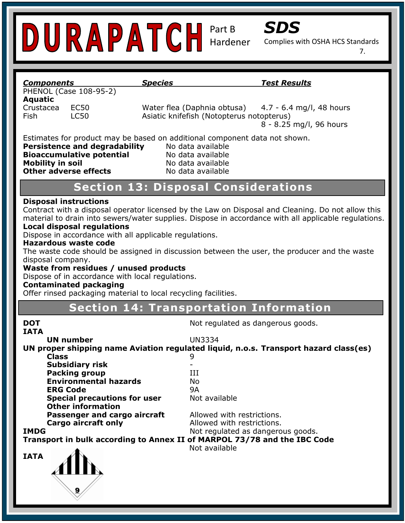

Complies with OSHA HCS Standards

7.

| <b>Components</b>       |                                      | <b>Species</b>                                                 | <u>Test Results</u>                                                                                  |
|-------------------------|--------------------------------------|----------------------------------------------------------------|------------------------------------------------------------------------------------------------------|
|                         | PHENOL (Case 108-95-2)               |                                                                |                                                                                                      |
| <b>Aquatic</b>          |                                      |                                                                |                                                                                                      |
| Crustacea               | <b>EC50</b>                          |                                                                | Water flea (Daphnia obtusa)<br>4.7 - 6.4 mg/l, 48 hours                                              |
| Fish                    | <b>LC50</b>                          |                                                                |                                                                                                      |
|                         |                                      |                                                                | Asiatic knifefish (Notopterus notopterus)                                                            |
|                         |                                      |                                                                | 8 - 8.25 mg/l, 96 hours                                                                              |
|                         |                                      |                                                                | Estimates for product may be based on additional component data not shown.                           |
|                         | <b>Persistence and degradability</b> |                                                                | No data available                                                                                    |
|                         |                                      |                                                                |                                                                                                      |
|                         | <b>Bioaccumulative potential</b>     |                                                                | No data available                                                                                    |
| <b>Mobility in soil</b> |                                      |                                                                | No data available                                                                                    |
|                         | <b>Other adverse effects</b>         |                                                                | No data available                                                                                    |
|                         |                                      |                                                                | <b>Section 13: Disposal Considerations</b>                                                           |
|                         |                                      |                                                                |                                                                                                      |
|                         | <b>Disposal instructions</b>         |                                                                |                                                                                                      |
|                         |                                      |                                                                | Contract with a disposal operator licensed by the Law on Disposal and Cleaning. Do not allow this    |
|                         |                                      |                                                                | material to drain into sewers/water supplies. Dispose in accordance with all applicable regulations. |
|                         | <b>Local disposal regulations</b>    |                                                                |                                                                                                      |
|                         |                                      | Dispose in accordance with all applicable regulations.         |                                                                                                      |
|                         | <b>Hazardous waste code</b>          |                                                                |                                                                                                      |
|                         |                                      |                                                                | The waste code should be assigned in discussion between the user, the producer and the waste         |
| disposal company.       |                                      |                                                                |                                                                                                      |
|                         |                                      | Waste from residues / unused products                          |                                                                                                      |
|                         |                                      | Dispose of in accordance with local regulations.               |                                                                                                      |
|                         |                                      |                                                                |                                                                                                      |
|                         | <b>Contaminated packaging</b>        |                                                                |                                                                                                      |
|                         |                                      | Offer rinsed packaging material to local recycling facilities. |                                                                                                      |
|                         |                                      |                                                                | <b>Section 14: Transportation Information</b>                                                        |
| <b>DOT</b>              |                                      |                                                                | Not regulated as dangerous goods.                                                                    |
| <b>IATA</b>             |                                      |                                                                |                                                                                                      |
|                         | <b>UN number</b>                     |                                                                | <b>UN3334</b>                                                                                        |
|                         |                                      |                                                                | UN proper shipping name Aviation regulated liquid, n.o.s. Transport hazard class(es)                 |
|                         | <b>Class</b>                         |                                                                | 9                                                                                                    |
|                         | <b>Subsidiary risk</b>               |                                                                |                                                                                                      |
|                         | <b>Packing group</b>                 |                                                                | III                                                                                                  |
|                         | <b>Environmental hazards</b>         |                                                                | No                                                                                                   |
|                         | <b>ERG Code</b>                      |                                                                | <b>9A</b>                                                                                            |
|                         |                                      |                                                                |                                                                                                      |
|                         | <b>Special precautions for user</b>  |                                                                | Not available                                                                                        |
|                         | <b>Other information</b>             |                                                                |                                                                                                      |
|                         | <b>Passenger and cargo aircraft</b>  |                                                                | Allowed with restrictions.                                                                           |
|                         | Cargo aircraft only                  |                                                                | Allowed with restrictions.                                                                           |
| <b>IMDG</b>             |                                      |                                                                | Not regulated as dangerous goods.                                                                    |
|                         |                                      |                                                                | Transport in bulk according to Annex II of MARPOL 73/78 and the IBC Code                             |
|                         |                                      |                                                                | Not available                                                                                        |
| <b>IATA</b>             |                                      |                                                                |                                                                                                      |
|                         |                                      |                                                                |                                                                                                      |
|                         |                                      |                                                                |                                                                                                      |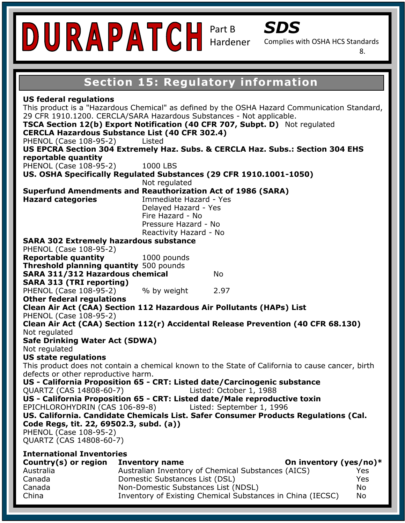

Complies with OSHA HCS Standards

8.

# **Section 15: Regulatory information**

PHENOL (Case 108-95-2) Listed US EPCRA Section 304 Extremely Haz. Subs. & CERCLA Haz. Subs.: Section 304 EHS **reportable quantity** FIILIVUL (CASE 100-9J-Z*)*<br>LI**C - OCHA C**resifically Descript **US. OSHA Specifically Regulated Substances (29 CFR 1910.1001-1050)**<br>Not requisted **Superfund Amendments and Reauthorization Act of 1986 (SARA) Hazard categories Hazard - No. 1988 Signal Word: Warning Hazard 102 Extremely hazardous substance Reportable quantity** 1000 pounds **Prience (Case 100 33 2)** The product contains in the product container or label and  $\frac{1}{2}$ . Other federal regulations  $\frac{1}{2}$ **Clean Air Act (CAA) Section 112 Hazardous Air Pollutants (HAPs) List** Clean Air Act (CAA) Section 112(r) Accidental Release Prevention (40 CFR 68.130) P280: Wear Protective gloves/protective clothing/eye and face protection.  $\mathbf{P}(\mathbf{S}|\mathbf{W}|\mathbf{A})$ **This product does not contain a chemical known to the State of California to cause cancer, birth US - California Proposition 65 - CRT: Listed date/Carcinogenic substance** i) <sub>-- ---</sub> -- <sup>Li</sup> US - California Proposition 65 - CRT: Listed date/Male reproductive toxin **by a strategy of the contract of the strategy** Specific Hazard: N/A **US. California. Candidate Chemicals List. Safer Consumer Products Regulations (Cal.**  PHENOL (Case 108-95-2)  $\left( \frac{1}{2} \right)$  $\mathbf{B}$ **Inventory name Safety Data Sheet (Complies with OSHA HCS** 29 CFR 1910.1200. CERCLA/SARA Hazardous Substances - Not applicable.<br>**TSCA Section 12(b) Export Notification (40 CER 707 Subpt. D)**, Not Pressure Hazard - No<br>Peastivity Hazard - No **US federal regulations**  This product is a "Hazardous Chemical" as defined by the OSHA Hazard Communication Standard, **TSCA Section 12(b) Export Notification (40 CFR 707, Subpt. D)** Not regulated **CERCLA Hazardous Substance List (40 CFR 302.4)**  PHENOL (Case 108-95-2) 1000 LBS Not regulated **Immediate Hazard - Yes** Delayed Hazard - Yes Reactivity Hazard - No PHENOL (Case 108-95-2) **Threshold planning quantity** 500 pounds **SARA 311/312 Hazardous chemical** No **SARA 313 (TRI reporting)**  PHENOL (Case 108-95-2) % by weight 2.97 PHENOL (Case 108-95-2) Not regulated **Safe Drinking Water Act (SDWA)**  Not regulated **US state regulations**  defects or other reproductive harm. QUARTZ (CAS 14808-60-7) Listed: October 1, 1988 EPICHLOROHYDRIN (CAS 106-89-8) Listed: September 1, 1996 **Code Regs, tit. 22, 69502.3, subd. (a))**  QUARTZ (CAS 14808-60-7) **International Inventories**  Country(s) or region Inventory name **Country Country (yes/no)**\* Australia Australian Inventory of Chemical Substances (AICS) Yes Canada Domestic Substances List (DSL) Yes Canada Non-Domestic Substances List (NDSL) No

China Inventory of Existing Chemical Substances in China (IECSC) No